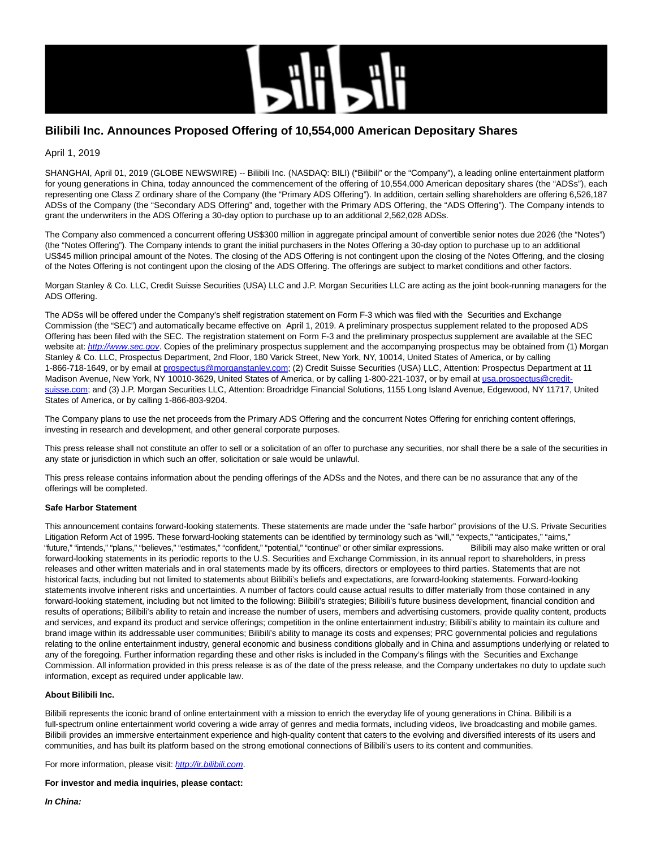

# **Bilibili Inc. Announces Proposed Offering of 10,554,000 American Depositary Shares**

April 1, 2019

SHANGHAI, April 01, 2019 (GLOBE NEWSWIRE) -- Bilibili Inc. (NASDAQ: BILI) ("Bilibili" or the "Company"), a leading online entertainment platform for young generations in China, today announced the commencement of the offering of 10,554,000 American depositary shares (the "ADSs"), each representing one Class Z ordinary share of the Company (the "Primary ADS Offering"). In addition, certain selling shareholders are offering 6,526,187 ADSs of the Company (the "Secondary ADS Offering" and, together with the Primary ADS Offering, the "ADS Offering"). The Company intends to grant the underwriters in the ADS Offering a 30-day option to purchase up to an additional 2,562,028 ADSs.

The Company also commenced a concurrent offering US\$300 million in aggregate principal amount of convertible senior notes due 2026 (the "Notes") (the "Notes Offering"). The Company intends to grant the initial purchasers in the Notes Offering a 30-day option to purchase up to an additional US\$45 million principal amount of the Notes. The closing of the ADS Offering is not contingent upon the closing of the Notes Offering, and the closing of the Notes Offering is not contingent upon the closing of the ADS Offering. The offerings are subject to market conditions and other factors.

Morgan Stanley & Co. LLC, Credit Suisse Securities (USA) LLC and J.P. Morgan Securities LLC are acting as the joint book-running managers for the ADS Offering.

The ADSs will be offered under the Company's shelf registration statement on Form F-3 which was filed with the Securities and Exchange Commission (the "SEC") and automatically became effective on April 1, 2019. A preliminary prospectus supplement related to the proposed ADS Offering has been filed with the SEC. The registration statement on Form F-3 and the preliminary prospectus supplement are available at the SEC website at: [http://www.sec.gov](http://www.sec.gov/). Copies of the preliminary prospectus supplement and the accompanying prospectus may be obtained from (1) Morgan Stanley & Co. LLC, Prospectus Department, 2nd Floor, 180 Varick Street, New York, NY, 10014, United States of America, or by calling 1-866-718-1649, or by email at [prospectus@morganstanley.com;](mailto:prospectus@morganstanley.com) (2) Credit Suisse Securities (USA) LLC, Attention: Prospectus Department at 11 Madison Avenue, New York, NY 10010-3629, United States of America, or by calling 1-800-221-1037, or by email a[t usa.prospectus@credit](mailto:usa.prospectus@credit-suisse.com)suisse.com; and (3) J.P. Morgan Securities LLC, Attention: Broadridge Financial Solutions, 1155 Long Island Avenue, Edgewood, NY 11717, United States of America, or by calling 1-866-803-9204.

The Company plans to use the net proceeds from the Primary ADS Offering and the concurrent Notes Offering for enriching content offerings, investing in research and development, and other general corporate purposes.

This press release shall not constitute an offer to sell or a solicitation of an offer to purchase any securities, nor shall there be a sale of the securities in any state or jurisdiction in which such an offer, solicitation or sale would be unlawful.

This press release contains information about the pending offerings of the ADSs and the Notes, and there can be no assurance that any of the offerings will be completed.

#### **Safe Harbor Statement**

This announcement contains forward-looking statements. These statements are made under the "safe harbor" provisions of the U.S. Private Securities Litigation Reform Act of 1995. These forward-looking statements can be identified by terminology such as "will," "expects," "anticipates," "aims," "future," "intends," "plans," "believes," "estimates," "confident," "potential," "continue" or other similar expressions. Bilibili may also make written or oral forward-looking statements in its periodic reports to the U.S. Securities and Exchange Commission, in its annual report to shareholders, in press releases and other written materials and in oral statements made by its officers, directors or employees to third parties. Statements that are not historical facts, including but not limited to statements about Bilibili's beliefs and expectations, are forward-looking statements. Forward-looking statements involve inherent risks and uncertainties. A number of factors could cause actual results to differ materially from those contained in any forward-looking statement, including but not limited to the following: Bilibili's strategies; Bilibili's future business development, financial condition and results of operations; Bilibili's ability to retain and increase the number of users, members and advertising customers, provide quality content, products and services, and expand its product and service offerings; competition in the online entertainment industry; Bilibili's ability to maintain its culture and brand image within its addressable user communities; Bilibili's ability to manage its costs and expenses; PRC governmental policies and regulations relating to the online entertainment industry, general economic and business conditions globally and in China and assumptions underlying or related to any of the foregoing. Further information regarding these and other risks is included in the Company's filings with the Securities and Exchange Commission. All information provided in this press release is as of the date of the press release, and the Company undertakes no duty to update such information, except as required under applicable law.

## **About Bilibili Inc.**

Bilibili represents the iconic brand of online entertainment with a mission to enrich the everyday life of young generations in China. Bilibili is a full-spectrum online entertainment world covering a wide array of genres and media formats, including videos, live broadcasting and mobile games. Bilibili provides an immersive entertainment experience and high-quality content that caters to the evolving and diversified interests of its users and communities, and has built its platform based on the strong emotional connections of Bilibili's users to its content and communities.

For more information, please visit: [http://ir.bilibili.com](http://ir.bilibili.com/).

### **For investor and media inquiries, please contact:**